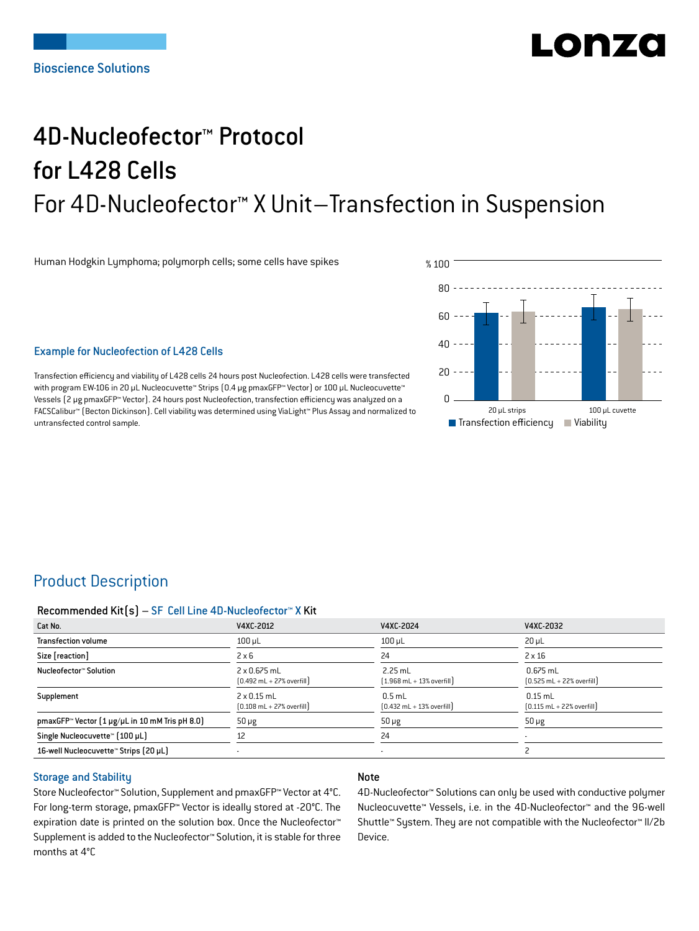# LONZ

## 4D-Nucleofector™ Protocol for L428 Cells For 4D-Nucleofector™ X Unit–Transfection in Suspension

Human Hodgkin Lymphoma; polymorph cells; some cells have spikes



Transfection efficiency and viability of L428 cells 24 hours post Nucleofection. L428 cells were transfected with program EW-106 in 20 μL Nucleocuvette™ Strips  $[0.4 \mu g$  pmaxGFP™ Vector] or 100 μL Nucleocuvette™ Vessels (2 μg pmaxGFP™ Vector). 24 hours post Nucleofection, transfection efficiency was analyzed on a FACSCalibur™ (Becton Dickinson). Cell viability was determined using ViaLight™ Plus Assay and normalized to untransfected control sample.



## Product Description

#### Recommended Kit(s) – SF Cell Line 4D-Nucleofector™ X Kit

| Cat No.                                                            | V4XC-2012                                                           | V4XC-2024                                                 | V4XC-2032                                                  |
|--------------------------------------------------------------------|---------------------------------------------------------------------|-----------------------------------------------------------|------------------------------------------------------------|
| <b>Transfection volume</b>                                         | $100$ µL                                                            | $100$ µL                                                  | $20 \mu L$                                                 |
| Size [reaction]                                                    | $2 \times 6$                                                        | 24                                                        | $2 \times 16$                                              |
| Nucleofector™ Solution                                             | $2 \times 0.675$ mL<br>$[0.492 \text{ mL} + 27\% \text{ overfill}]$ | $2.25$ mL<br>$(1.968 \text{ mL} + 13\% \text{ overfill})$ | $0.675$ mL<br>$[0.525 \text{ mL} + 22\% \text{ overfill}]$ |
| Supplement                                                         | $2 \times 0.15$ mL<br>$[0.108 \text{ mL} + 27\% \text{ overfill}]$  | $0.5$ mL<br>$[0.432 \text{ mL} + 13\% \text{ overfill}]$  | $0.15$ mL<br>$[0.115 \text{ mL} + 22\% \text{ overfill}]$  |
| pmaxGFP <sup>*</sup> Vector $[1 \mu g/\mu L$ in 10 mM Tris pH 8.0) | $50 \mu g$                                                          | $50 \mu g$                                                | $50 \mu g$                                                 |
| Single Nucleocuvette™ (100 µL)                                     | 12                                                                  | 24                                                        |                                                            |
| 16-well Nucleocuvette <sup>™</sup> Strips (20 µL)                  |                                                                     |                                                           |                                                            |

#### Storage and Stability

Store Nucleofector™ Solution, Supplement and pmaxGFP™ Vector at 4°C. For long-term storage, pmaxGFP™ Vector is ideally stored at -20°C. The expiration date is printed on the solution box. Once the Nucleofector™ Supplement is added to the Nucleofector™ Solution, it is stable for three months at 4°C

#### Note

4D-Nucleofector™ Solutions can only be used with conductive polymer Nucleocuvette™ Vessels, i.e. in the 4D-Nucleofector™ and the 96-well Shuttle™ System. They are not compatible with the Nucleofector™ II/2b Device.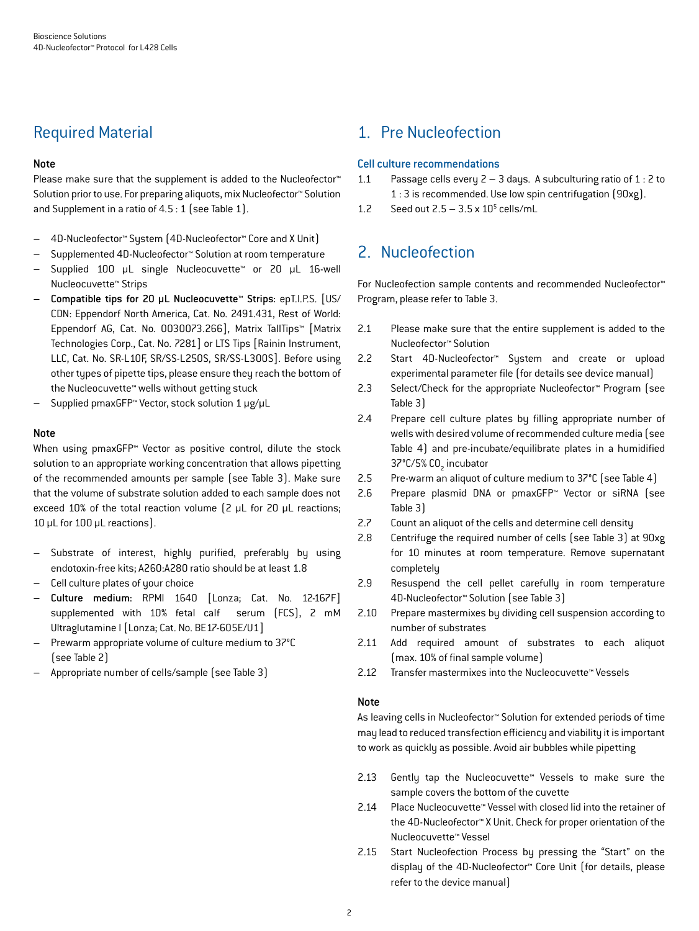## Required Material

#### Note

Please make sure that the supplement is added to the Nucleofector<sup>™</sup> Solution prior to use. For preparing aliquots, mix Nucleofector™ Solution and Supplement in a ratio of 4.5 : 1 (see Table 1).

- 4D-Nucleofector™ System (4D-Nucleofector™ Core and X Unit)
- Supplemented 4D-Nucleofector™ Solution at room temperature
- Supplied 100 µL single Nucleocuvette™ or 20 µL 16-well Nucleocuvette™ Strips
- Compatible tips for 20 µL Nucleocuvette™ Strips: epT.I.P.S. [US/ CDN: Eppendorf North America, Cat. No. 2491.431, Rest of World: Eppendorf AG, Cat. No. 0030073.266], Matrix TallTips™ [Matrix Technologies Corp., Cat. No. 7281] or LTS Tips [Rainin Instrument, LLC, Cat. No. SR-L10F, SR/SS-L250S, SR/SS-L300S]. Before using other types of pipette tips, please ensure they reach the bottom of the Nucleocuvette™ wells without getting stuck
- Supplied pmaxGFP™ Vector, stock solution 1 μg/μL

#### Note

When using pmaxGFP™ Vector as positive control, dilute the stock solution to an appropriate working concentration that allows pipetting of the recommended amounts per sample (see Table 3). Make sure that the volume of substrate solution added to each sample does not exceed 10% of the total reaction volume (2 μL for 20 μL reactions; 10 μL for 100 μL reactions).

- Substrate of interest, highly purified, preferably by using endotoxin-free kits; A260:A280 ratio should be at least 1.8
- Cell culture plates of your choice
- Culture medium: RPMI 1640 [Lonza; Cat. No. 12-167F] supplemented with 10% fetal calf serum (FCS), 2 mM Ultraglutamine I [Lonza; Cat. No. BE17-605E/U1]
- Prewarm appropriate volume of culture medium to 37°C (see Table 2)
- Appropriate number of cells/sample (see Table 3)

## 1. Pre Nucleofection

#### Cell culture recommendations

- 1.1 Passage cells every  $2 3$  days. A subculturing ratio of  $1:2$  to 1 : 3 is recommended. Use low spin centrifugation (90xg).
- 1.2 Seed out  $2.5 3.5 \times 10^5$  cells/mL

## 2. Nucleofection

For Nucleofection sample contents and recommended Nucleofector™ Program, please refer to Table 3.

- 2.1 Please make sure that the entire supplement is added to the Nucleofector™ Solution
- 2.2 Start 4D-Nucleofector™ System and create or upload experimental parameter file (for details see device manual)
- 2.3 Select/Check for the appropriate Nucleofector™ Program (see Table 3)
- 2.4 Prepare cell culture plates by filling appropriate number of wells with desired volume of recommended culture media (see Table 4) and pre-incubate/equilibrate plates in a humidified 37°C/5% CO<sub>2</sub> incubator
- 2.5 Pre-warm an aliquot of culture medium to 37°C (see Table 4)
- 2.6 Prepare plasmid DNA or pmaxGFP™ Vector or siRNA (see Table 3)
- 2.7 Count an aliquot of the cells and determine cell density
- 2.8 Centrifuge the required number of cells (see Table 3) at 90xg for 10 minutes at room temperature. Remove supernatant completely
- 2.9 Resuspend the cell pellet carefully in room temperature 4D-Nucleofector™ Solution (see Table 3)
- 2.10 Prepare mastermixes by dividing cell suspension according to number of substrates
- 2.11 Add required amount of substrates to each aliquot (max. 10% of final sample volume)
- 2.12 Transfer mastermixes into the Nucleocuvette™ Vessels

#### Note

As leaving cells in Nucleofector™ Solution for extended periods of time may lead to reduced transfection efficiency and viability it is important to work as quickly as possible. Avoid air bubbles while pipetting

- 2.13 Gently tap the Nucleocuvette™ Vessels to make sure the sample covers the bottom of the cuvette
- 2.14 Place Nucleocuvette™ Vessel with closed lid into the retainer of the 4D-Nucleofector™ X Unit. Check for proper orientation of the Nucleocuvette™ Vessel
- 2.15 Start Nucleofection Process by pressing the "Start" on the display of the 4D-Nucleofector™ Core Unit (for details, please refer to the device manual)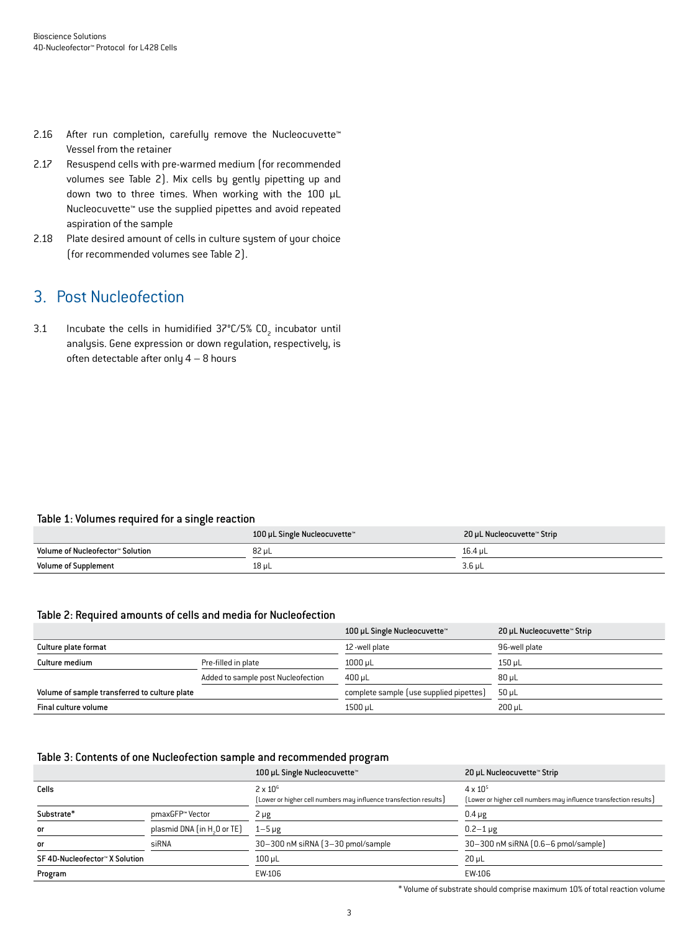- 2.16 After run completion, carefully remove the Nucleocuvette™ Vessel from the retainer
- 2.17 Resuspend cells with pre-warmed medium (for recommended volumes see Table 2). Mix cells by gently pipetting up and down two to three times. When working with the 100 µL Nucleocuvette™ use the supplied pipettes and avoid repeated aspiration of the sample
- 2.18 Plate desired amount of cells in culture system of your choice (for recommended volumes see Table 2).

## 3. Post Nucleofection

3.1 Incubate the cells in humidified  $37^{\circ}$ C/5% CO<sub>2</sub> incubator until analysis. Gene expression or down regulation, respectively, is often detectable after only  $4 - 8$  hours

#### Table 1: Volumes required for a single reaction

|                                  | 100 µL Single Nucleocuvette™ | 20 µL Nucleocuvette™ Strip |
|----------------------------------|------------------------------|----------------------------|
| Volume of Nucleofector™ Solution | 82 uL                        | 16.4 uL                    |
| <b>Volume of Supplement</b>      | 18 µL                        | $3.6$ µL                   |

#### Table 2: Required amounts of cells and media for Nucleofection

|                                               |                                    | 100 µL Single Nucleocuvette™            | 20 µL Nucleocuvette™ Strip |
|-----------------------------------------------|------------------------------------|-----------------------------------------|----------------------------|
| Culture plate format                          |                                    | 12-well plate                           | 96-well plate              |
| Culture medium                                | Pre-filled in plate                | $1000 \mu L$                            | $150$ µL                   |
|                                               | Added to sample post Nucleofection | $400 \,\mathrm{\upmu L}$                | $80 \mu L$                 |
| Volume of sample transferred to culture plate |                                    | complete sample (use supplied pipettes) | $50 \mu L$                 |
| Final culture volume                          |                                    | 1500 µL                                 | 200 uL                     |

#### Table 3: Contents of one Nucleofection sample and recommended program

|                                |                                         | 100 µL Single Nucleocuvette™                                      | 20 µL Nucleocuvette™ Strip                                        |
|--------------------------------|-----------------------------------------|-------------------------------------------------------------------|-------------------------------------------------------------------|
| Cells                          |                                         | $2 \times 10^6$                                                   | $4 \times 10^{5}$                                                 |
|                                |                                         | [Lower or higher cell numbers may influence transfection results] | [Lower or higher cell numbers may influence transfection results] |
| Substrate*                     | pmaxGFP™ Vector                         | $2 \mu g$                                                         | $0.4 \mu g$                                                       |
| or                             | plasmid DNA (in H <sub>2</sub> O or TE) | $1-5 \mu g$                                                       | $0.2 - 1 \mu g$                                                   |
| or                             | siRNA                                   | 30-300 nM siRNA (3-30 pmol/sample)                                | 30-300 nM siRNA (0.6-6 pmol/sample)                               |
| SF 4D-Nucleofector™ X Solution |                                         | $100$ µL                                                          | $20 \mu L$                                                        |
| Program                        |                                         | EW-106                                                            | EW-106                                                            |

\* Volume of substrate should comprise maximum 10% of total reaction volume